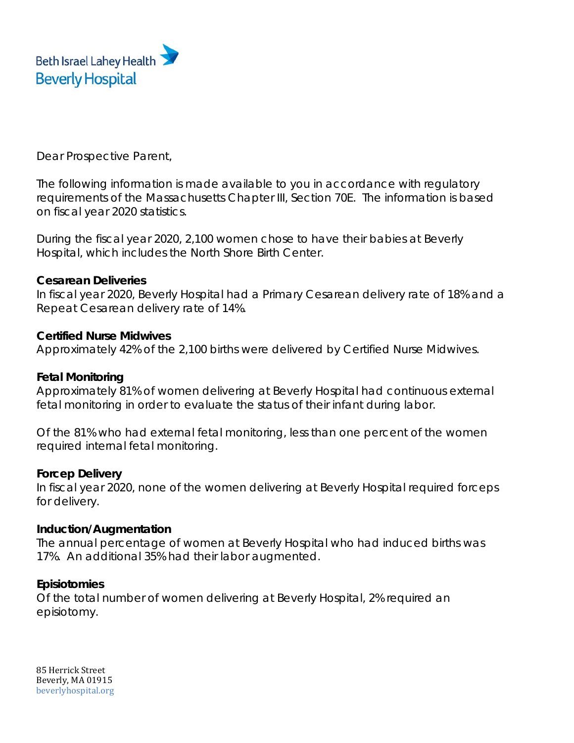

Dear Prospective Parent,

The following information is made available to you in accordance with regulatory requirements of the Massachusetts Chapter III, Section 70E. The information is based on fiscal year 2020 statistics.

During the fiscal year 2020, 2,100 women chose to have their babies at Beverly Hospital, which includes the North Shore Birth Center.

### **Cesarean Deliveries**

In fiscal year 2020, Beverly Hospital had a Primary Cesarean delivery rate of 18% and a Repeat Cesarean delivery rate of 14%.

### **Certified Nurse Midwives**

Approximately 42% of the 2,100 births were delivered by Certified Nurse Midwives.

## **Fetal Monitoring**

Approximately 81% of women delivering at Beverly Hospital had continuous external fetal monitoring in order to evaluate the status of their infant during labor.

Of the 81% who had external fetal monitoring, less than one percent of the women required internal fetal monitoring.

# **Forcep Delivery**

In fiscal year 2020, none of the women delivering at Beverly Hospital required forceps for delivery.

### **Induction/Augmentation**

The annual percentage of women at Beverly Hospital who had induced births was 17%. An additional 35% had their labor augmented.

# **Episiotomies**

Of the total number of women delivering at Beverly Hospital, 2% required an episiotomy.

85 Herrick Street Beverly, MA 01915 beverlyhospital.org